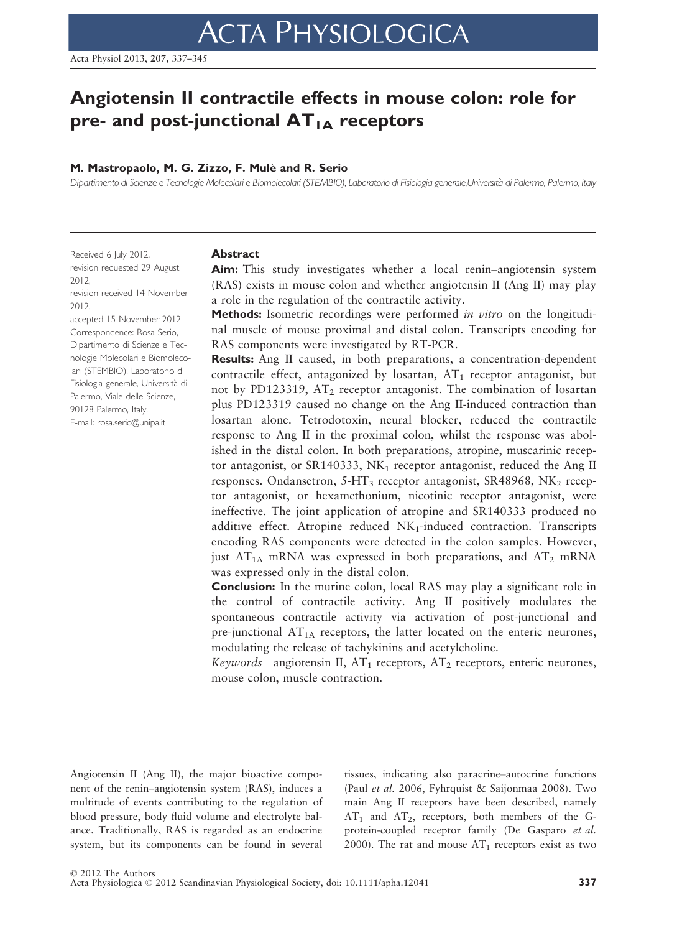# Angiotensin II contractile effects in mouse colon: role for pre- and post-junctional  $AT_{1A}$  receptors

# M. Mastropaolo, M. G. Zizzo, F. Mulè and R. Serio

Dipartimento di Scienze e Tecnologie Molecolari e Biomolecolari (STEMBIO), Laboratorio di Fisiologia generale,Universita di Palermo, Palermo, Italy

Received 6 July 2012, revision requested 29 August 2012,

revision received 14 November 2012,

accepted 15 November 2012 Correspondence: Rosa Serio, Dipartimento di Scienze e Tecnologie Molecolari e Biomolecolari (STEMBIO), Laboratorio di Fisiologia generale, Università di Palermo, Viale delle Scienze, 90128 Palermo, Italy. E-mail: rosa.serio@unipa.it

#### Abstract

Aim: This study investigates whether a local renin–angiotensin system (RAS) exists in mouse colon and whether angiotensin II (Ang II) may play a role in the regulation of the contractile activity.

Methods: Isometric recordings were performed *in vitro* on the longitudinal muscle of mouse proximal and distal colon. Transcripts encoding for RAS components were investigated by RT-PCR.

Results: Ang II caused, in both preparations, a concentration-dependent contractile effect, antagonized by losartan,  $AT_1$  receptor antagonist, but not by PD123319,  $AT_2$  receptor antagonist. The combination of losartan plus PD123319 caused no change on the Ang II-induced contraction than losartan alone. Tetrodotoxin, neural blocker, reduced the contractile response to Ang II in the proximal colon, whilst the response was abolished in the distal colon. In both preparations, atropine, muscarinic receptor antagonist, or SR140333,  $NK_1$  receptor antagonist, reduced the Ang II responses. Ondansetron,  $5-HT_3$  receptor antagonist, SR48968, NK<sub>2</sub> receptor antagonist, or hexamethonium, nicotinic receptor antagonist, were ineffective. The joint application of atropine and SR140333 produced no additive effect. Atropine reduced  $NK_1$ -induced contraction. Transcripts encoding RAS components were detected in the colon samples. However, just  $AT_{1A}$  mRNA was expressed in both preparations, and  $AT_2$  mRNA was expressed only in the distal colon.

Conclusion: In the murine colon, local RAS may play a significant role in the control of contractile activity. Ang II positively modulates the spontaneous contractile activity via activation of post-junctional and pre-junctional  $AT_{1A}$  receptors, the latter located on the enteric neurones, modulating the release of tachykinins and acetylcholine.

Keywords angiotensin II,  $AT_1$  receptors,  $AT_2$  receptors, enteric neurones, mouse colon, muscle contraction.

Angiotensin II (Ang II), the major bioactive component of the renin–angiotensin system (RAS), induces a multitude of events contributing to the regulation of blood pressure, body fluid volume and electrolyte balance. Traditionally, RAS is regarded as an endocrine system, but its components can be found in several

tissues, indicating also paracrine–autocrine functions (Paul et al. 2006, Fyhrquist & Saijonmaa 2008). Two main Ang II receptors have been described, namely  $AT_1$  and  $AT_2$ , receptors, both members of the Gprotein-coupled receptor family (De Gasparo et al. 2000). The rat and mouse  $AT_1$  receptors exist as two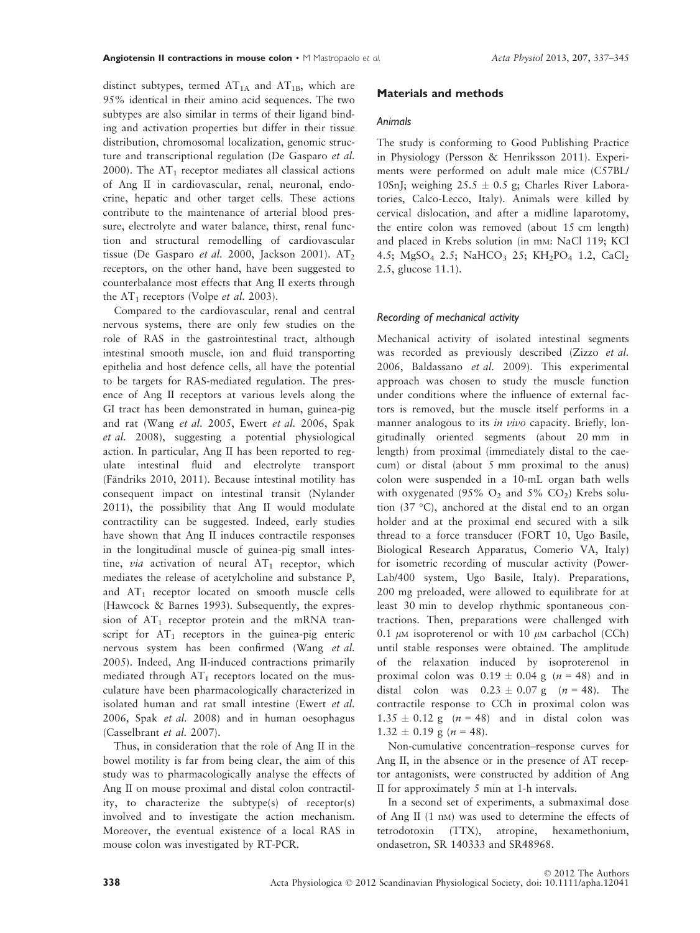distinct subtypes, termed  $AT<sub>1A</sub>$  and  $AT<sub>1B</sub>$ , which are 95% identical in their amino acid sequences. The two subtypes are also similar in terms of their ligand binding and activation properties but differ in their tissue distribution, chromosomal localization, genomic structure and transcriptional regulation (De Gasparo et al. 2000). The  $AT_1$  receptor mediates all classical actions of Ang II in cardiovascular, renal, neuronal, endocrine, hepatic and other target cells. These actions contribute to the maintenance of arterial blood pressure, electrolyte and water balance, thirst, renal function and structural remodelling of cardiovascular tissue (De Gasparo et al. 2000, Jackson 2001).  $AT_2$ receptors, on the other hand, have been suggested to counterbalance most effects that Ang II exerts through the  $AT_1$  receptors (Volpe *et al.* 2003).

Compared to the cardiovascular, renal and central nervous systems, there are only few studies on the role of RAS in the gastrointestinal tract, although intestinal smooth muscle, ion and fluid transporting epithelia and host defence cells, all have the potential to be targets for RAS-mediated regulation. The presence of Ang II receptors at various levels along the GI tract has been demonstrated in human, guinea-pig and rat (Wang et al. 2005, Ewert et al. 2006, Spak et al. 2008), suggesting a potential physiological action. In particular, Ang II has been reported to regulate intestinal fluid and electrolyte transport (Fändriks 2010, 2011). Because intestinal motility has consequent impact on intestinal transit (Nylander 2011), the possibility that Ang II would modulate contractility can be suggested. Indeed, early studies have shown that Ang II induces contractile responses in the longitudinal muscle of guinea-pig small intestine, *via* activation of neural  $AT_1$  receptor, which mediates the release of acetylcholine and substance P, and  $AT_1$  receptor located on smooth muscle cells (Hawcock & Barnes 1993). Subsequently, the expression of  $AT_1$  receptor protein and the mRNA transcript for  $AT_1$  receptors in the guinea-pig enteric nervous system has been confirmed (Wang et al. 2005). Indeed, Ang II-induced contractions primarily mediated through  $AT_1$  receptors located on the musculature have been pharmacologically characterized in isolated human and rat small intestine (Ewert et al. 2006, Spak et al. 2008) and in human oesophagus (Casselbrant et al. 2007).

Thus, in consideration that the role of Ang II in the bowel motility is far from being clear, the aim of this study was to pharmacologically analyse the effects of Ang II on mouse proximal and distal colon contractility, to characterize the subtype(s) of receptor(s) involved and to investigate the action mechanism. Moreover, the eventual existence of a local RAS in mouse colon was investigated by RT-PCR.

## Materials and methods

#### Animals

The study is conforming to Good Publishing Practice in Physiology (Persson & Henriksson 2011). Experiments were performed on adult male mice (C57BL/ 10SnJ; weighing  $25.5 \pm 0.5$  g; Charles River Laboratories, Calco-Lecco, Italy). Animals were killed by cervical dislocation, and after a midline laparotomy, the entire colon was removed (about 15 cm length) and placed in Krebs solution (in mM: NaCl 119; KCl 4.5; MgSO<sub>4</sub> 2.5; NaHCO<sub>3</sub> 25; KH<sub>2</sub>PO<sub>4</sub> 1.2, CaCl<sub>2</sub> 2.5, glucose 11.1).

# Recording of mechanical activity

Mechanical activity of isolated intestinal segments was recorded as previously described (Zizzo et al. 2006, Baldassano et al. 2009). This experimental approach was chosen to study the muscle function under conditions where the influence of external factors is removed, but the muscle itself performs in a manner analogous to its in vivo capacity. Briefly, longitudinally oriented segments (about 20 mm in length) from proximal (immediately distal to the caecum) or distal (about 5 mm proximal to the anus) colon were suspended in a 10-mL organ bath wells with oxygenated (95%  $O_2$  and 5%  $CO_2$ ) Krebs solution (37 °C), anchored at the distal end to an organ holder and at the proximal end secured with a silk thread to a force transducer (FORT 10, Ugo Basile, Biological Research Apparatus, Comerio VA, Italy) for isometric recording of muscular activity (Power-Lab/400 system, Ugo Basile, Italy). Preparations, 200 mg preloaded, were allowed to equilibrate for at least 30 min to develop rhythmic spontaneous contractions. Then, preparations were challenged with 0.1  $\mu$ M isoproterenol or with 10  $\mu$ M carbachol (CCh) until stable responses were obtained. The amplitude of the relaxation induced by isoproterenol in proximal colon was  $0.19 \pm 0.04$  g ( $n = 48$ ) and in distal colon was  $0.23 \pm 0.07$  g (n = 48). The contractile response to CCh in proximal colon was  $1.35 \pm 0.12$  g (n = 48) and in distal colon was  $1.32 \pm 0.19$  g (n = 48).

Non-cumulative concentration–response curves for Ang II, in the absence or in the presence of AT receptor antagonists, were constructed by addition of Ang II for approximately 5 min at 1-h intervals.

In a second set of experiments, a submaximal dose of Ang II (1 nM) was used to determine the effects of tetrodotoxin (TTX), atropine, hexamethonium, ondasetron, SR 140333 and SR48968.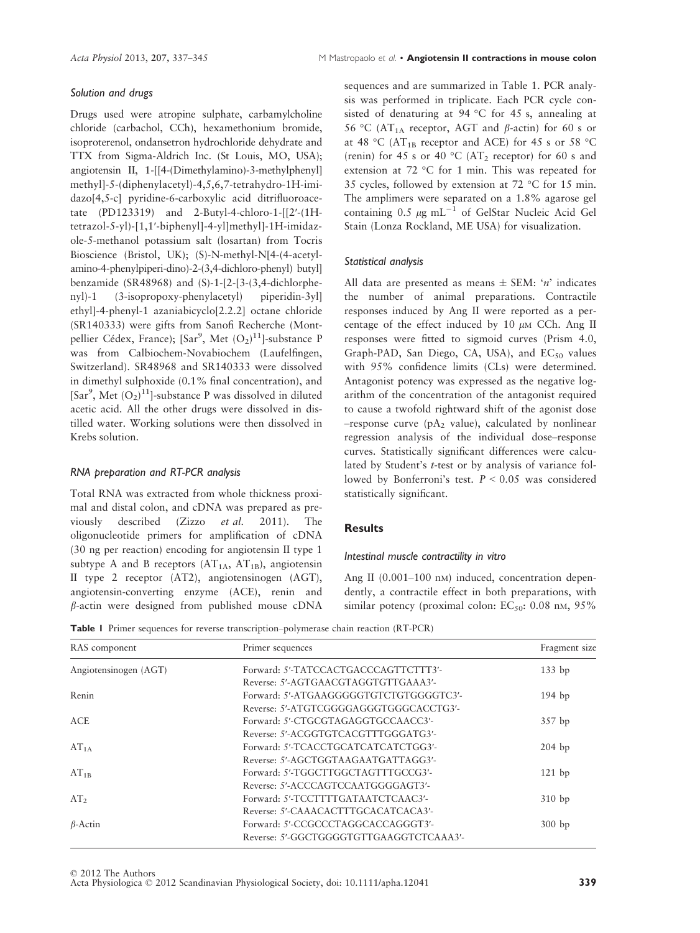# Solution and drugs

Drugs used were atropine sulphate, carbamylcholine chloride (carbachol, CCh), hexamethonium bromide, isoproterenol, ondansetron hydrochloride dehydrate and TTX from Sigma-Aldrich Inc. (St Louis, MO, USA); angiotensin II, 1-[[4-(Dimethylamino)-3-methylphenyl] methyl]-5-(diphenylacetyl)-4,5,6,7-tetrahydro-1H-imidazo[4,5-c] pyridine-6-carboxylic acid ditrifluoroacetate (PD123319) and 2-Butyl-4-chloro-1-[[2′-(1Htetrazol-5-yl)-[1,1′-biphenyl]-4-yl]methyl]-1H-imidazole-5-methanol potassium salt (losartan) from Tocris Bioscience (Bristol, UK); (S)-N-methyl-N[4-(4-acetylamino-4-phenylpiperi-dino)-2-(3,4-dichloro-phenyl) butyl] benzamide (SR48968) and (S)-1-[2-[3-(3,4-dichlorphenyl)-1 (3-isopropoxy-phenylacetyl) piperidin-3yl] ethyl]-4-phenyl-1 azaniabicyclo[2.2.2] octane chloride (SR140333) were gifts from Sanofi Recherche (Montpellier Cédex, France); [Sar<sup>9</sup>, Met  $(O_2)^{11}$ ]-substance P was from Calbiochem-Novabiochem (Laufelfingen, Switzerland). SR48968 and SR140333 were dissolved in dimethyl sulphoxide (0.1% final concentration), and [Sar<sup>9</sup>, Met  $(O_2)^{11}$ ]-substance P was dissolved in diluted acetic acid. All the other drugs were dissolved in distilled water. Working solutions were then dissolved in Krebs solution.

# RNA preparation and RT-PCR analysis

Total RNA was extracted from whole thickness proximal and distal colon, and cDNA was prepared as previously described (Zizzo et al. 2011). The oligonucleotide primers for amplification of cDNA (30 ng per reaction) encoding for angiotensin II type 1 subtype A and B receptors  $(AT<sub>1A</sub>, AT<sub>1B</sub>)$ , angiotensin II type 2 receptor (AT2), angiotensinogen (AGT), angiotensin-converting enzyme (ACE), renin and  $\beta$ -actin were designed from published mouse cDNA

sequences and are summarized in Table 1. PCR analysis was performed in triplicate. Each PCR cycle consisted of denaturing at 94 °C for 45 s, annealing at 56 °C (AT<sub>1A</sub> receptor, AGT and  $\beta$ -actin) for 60 s or at 48 °C (AT<sub>1B</sub> receptor and ACE) for 45 s or 58 °C (renin) for 45 s or 40 °C (AT<sub>2</sub> receptor) for 60 s and extension at 72 °C for 1 min. This was repeated for 35 cycles, followed by extension at 72 °C for 15 min. The amplimers were separated on a 1.8% agarose gel containing 0.5  $\mu$ g mL<sup>-1</sup> of GelStar Nucleic Acid Gel Stain (Lonza Rockland, ME USA) for visualization.

# Statistical analysis

All data are presented as means  $\pm$  SEM: 'n' indicates the number of animal preparations. Contractile responses induced by Ang II were reported as a percentage of the effect induced by 10  $\mu$ M CCh. Ang II responses were fitted to sigmoid curves (Prism 4.0, Graph-PAD, San Diego, CA, USA), and  $EC_{50}$  values with 95% confidence limits (CLs) were determined. Antagonist potency was expressed as the negative logarithm of the concentration of the antagonist required to cause a twofold rightward shift of the agonist dose -response curve (p $A_2$  value), calculated by nonlinear regression analysis of the individual dose–response curves. Statistically significant differences were calculated by Student's t-test or by analysis of variance followed by Bonferroni's test.  $P \leq 0.05$  was considered statistically significant.

# **Results**

### Intestinal muscle contractility in vitro

Ang II (0.001–100 nm) induced, concentration dependently, a contractile effect in both preparations, with similar potency (proximal colon:  $EC_{50}$ : 0.08 nm, 95%

Table 1 Primer sequences for reverse transcription–polymerase chain reaction (RT-PCR)

| RAS component         | Primer sequences                        | Fragment size |
|-----------------------|-----------------------------------------|---------------|
| Angiotensinogen (AGT) | Forward: 5'-TATCCACTGACCCAGTTCTTT3'-    | $133$ bp      |
|                       | Reverse: 5'-AGTGAACGTAGGTGTTGAAA3'-     |               |
| Renin                 | Forward: 5'-ATGAAGGGGGTGTCTGTGGGGTC3'-  | $194$ bp      |
|                       | Reverse: 5'-ATGTCGGGGAGGGTGGGCACCTG3'-  |               |
| <b>ACE</b>            | Forward: 5'-CTGCGTAGAGGTGCCAACC3'-      | 357 bp        |
|                       | Reverse: 5'-ACGGTGTCACGTTTGGGATG3'-     |               |
| $AT_{1A}$             | Forward: 5'-TCACCTGCATCATCATCTGG3'-     | $204$ bp      |
|                       | Reverse: 5'-AGCTGGTAAGAATGATTAGG3'-     |               |
| $AT_{1B}$             | Forward: 5'-TGGCTTGGCTAGTTTGCCG3'-      | $121$ bp      |
|                       | Reverse: 5'-ACCCAGTCCAATGGGGAGT3'-      |               |
| AT <sub>2</sub>       | Forward: 5'-TCCTTTTGATAATCTCAAC3'-      | 310bp         |
|                       | Reverse: 5'-CAAACACTTTGCACATCACA3'-     |               |
| $\beta$ -Actin        | Forward: 5'-CCGCCCTAGGCACCAGGGT3'-      | $300$ bp      |
|                       | Reverse: 5'-GGCTGGGGTGTTGAAGGTCTCAAA3'- |               |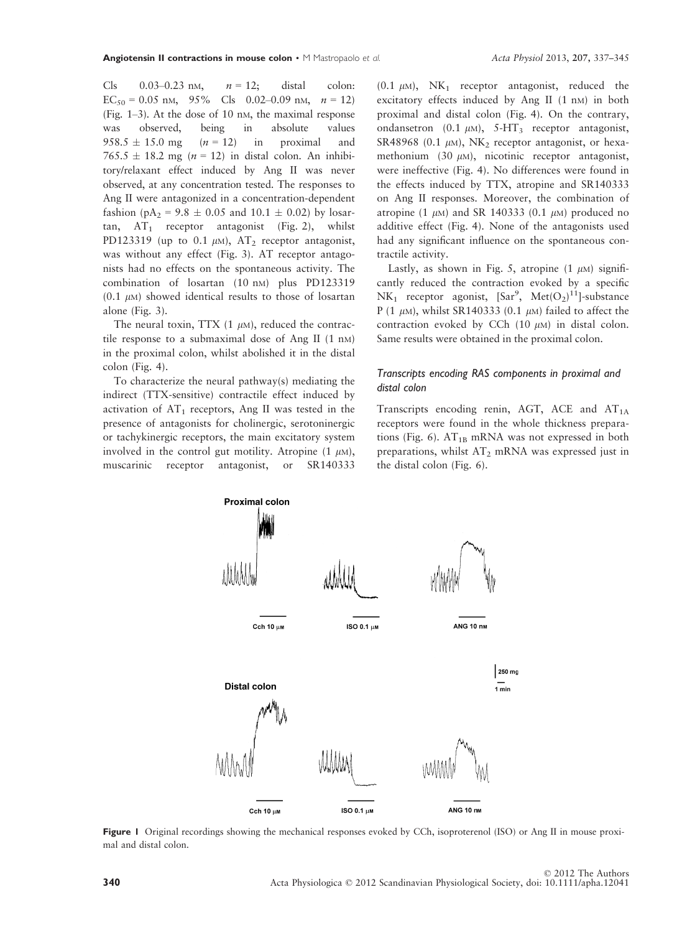Cls  $0.03-0.23$  nM,  $n = 12$ ; distal colon:  $EC_{50} = 0.05$  nm, 95% Cls 0.02–0.09 nm,  $n = 12$ ) (Fig. 1–3). At the dose of 10 nM, the maximal response was observed, being in absolute values  $958.5 \pm 15.0$  mg  $(n = 12)$  in proximal and  $765.5 \pm 18.2$  mg (n = 12) in distal colon. An inhibitory/relaxant effect induced by Ang II was never observed, at any concentration tested. The responses to Ang II were antagonized in a concentration-dependent fashion (pA<sub>2</sub> = 9.8  $\pm$  0.05 and 10.1  $\pm$  0.02) by losartan,  $AT_1$  receptor antagonist (Fig. 2), whilst PD123319 (up to 0.1  $\mu$ M), AT<sub>2</sub> receptor antagonist, was without any effect (Fig. 3). AT receptor antagonists had no effects on the spontaneous activity. The combination of losartan (10 nm) plus PD123319 (0.1  $\mu$ M) showed identical results to those of losartan alone (Fig. 3).

The neural toxin, TTX  $(1 \mu M)$ , reduced the contractile response to a submaximal dose of Ang II (1 nM) in the proximal colon, whilst abolished it in the distal colon (Fig. 4).

To characterize the neural pathway(s) mediating the indirect (TTX-sensitive) contractile effect induced by activation of  $AT_1$  receptors, Ang II was tested in the presence of antagonists for cholinergic, serotoninergic or tachykinergic receptors, the main excitatory system involved in the control gut motility. Atropine  $(1 \mu M)$ , muscarinic receptor antagonist, or SR140333

 $(0.1 \mu M)$ , NK<sub>1</sub> receptor antagonist, reduced the excitatory effects induced by Ang II (1 nM) in both proximal and distal colon (Fig. 4). On the contrary, ondansetron  $(0.1 \mu M)$ , 5-HT<sub>3</sub> receptor antagonist, SR48968 (0.1  $\mu$ M), NK<sub>2</sub> receptor antagonist, or hexamethonium (30  $\mu$ M), nicotinic receptor antagonist, were ineffective (Fig. 4). No differences were found in the effects induced by TTX, atropine and SR140333 on Ang II responses. Moreover, the combination of atropine (1  $\mu$ M) and SR 140333 (0.1  $\mu$ M) produced no additive effect (Fig. 4). None of the antagonists used had any significant influence on the spontaneous contractile activity.

Lastly, as shown in Fig. 5, atropine  $(1 \mu M)$  significantly reduced the contraction evoked by a specific  $NK_1$  receptor agonist,  $[Sar^9, Met(O_2)^{11}]$ -substance P (1  $\mu$ M), whilst SR140333 (0.1  $\mu$ M) failed to affect the contraction evoked by CCh  $(10 \mu)$  in distal colon. Same results were obtained in the proximal colon.

# Transcripts encoding RAS components in proximal and distal colon

Transcripts encoding renin, AGT, ACE and  $AT<sub>1A</sub>$ receptors were found in the whole thickness preparations (Fig. 6).  $AT_{1B}$  mRNA was not expressed in both preparations, whilst  $AT_2$  mRNA was expressed just in the distal colon (Fig. 6).



Figure 1 Original recordings showing the mechanical responses evoked by CCh, isoproterenol (ISO) or Ang II in mouse proximal and distal colon.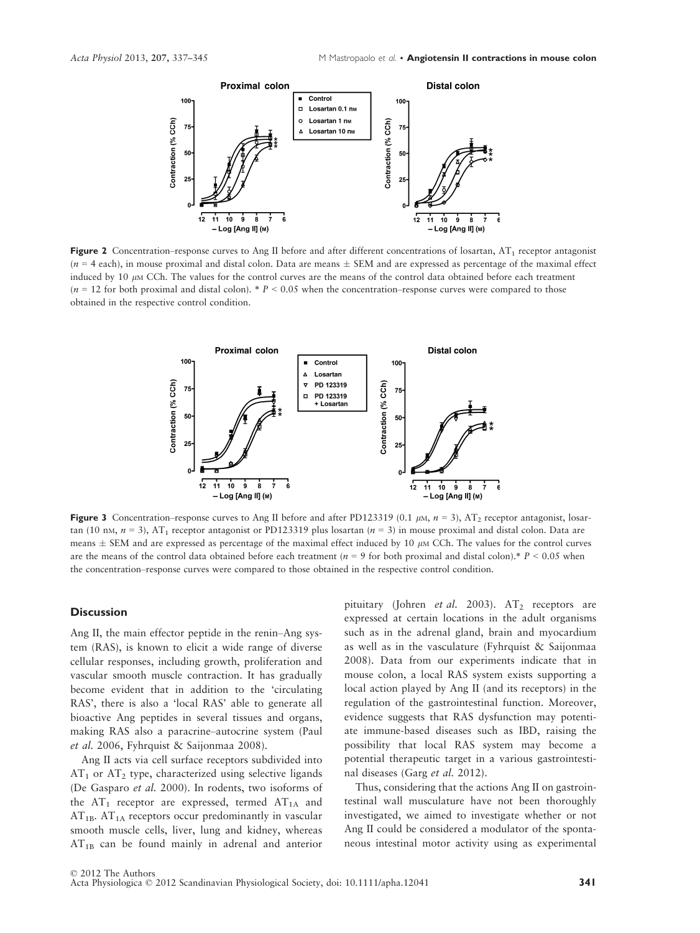

Figure 2 Concentration–response curves to Ang II before and after different concentrations of losartan,  $AT_1$  receptor antagonist  $(n = 4 \text{ each})$ , in mouse proximal and distal colon. Data are means  $\pm$  SEM and are expressed as percentage of the maximal effect induced by 10  $\mu$ M CCh. The values for the control curves are the means of the control data obtained before each treatment  $(n = 12$  for both proximal and distal colon). \*  $P < 0.05$  when the concentration–response curves were compared to those obtained in the respective control condition.



Figure 3 Concentration–response curves to Ang II before and after PD123319 (0.1  $\mu$ M,  $n = 3$ ), AT<sub>2</sub> receptor antagonist, losartan (10 nM,  $n = 3$ ), AT<sub>1</sub> receptor antagonist or PD123319 plus losartan ( $n = 3$ ) in mouse proximal and distal colon. Data are means  $\pm$  SEM and are expressed as percentage of the maximal effect induced by 10  $\mu$ M CCh. The values for the control curves are the means of the control data obtained before each treatment ( $n = 9$  for both proximal and distal colon).\*  $P < 0.05$  when the concentration–response curves were compared to those obtained in the respective control condition.

#### **Discussion**

Ang II, the main effector peptide in the renin–Ang system (RAS), is known to elicit a wide range of diverse cellular responses, including growth, proliferation and vascular smooth muscle contraction. It has gradually become evident that in addition to the 'circulating RAS', there is also a 'local RAS' able to generate all bioactive Ang peptides in several tissues and organs, making RAS also a paracrine–autocrine system (Paul et al. 2006, Fyhrquist & Saijonmaa 2008).

Ang II acts via cell surface receptors subdivided into  $AT_1$  or  $AT_2$  type, characterized using selective ligands (De Gasparo et al. 2000). In rodents, two isoforms of the  $AT_1$  receptor are expressed, termed  $AT_{1A}$  and  $AT_{1B}$ .  $AT_{1A}$  receptors occur predominantly in vascular smooth muscle cells, liver, lung and kidney, whereas  $AT_{1B}$  can be found mainly in adrenal and anterior

pituitary (Johren et al. 2003).  $AT_2$  receptors are expressed at certain locations in the adult organisms such as in the adrenal gland, brain and myocardium as well as in the vasculature (Fyhrquist & Saijonmaa 2008). Data from our experiments indicate that in mouse colon, a local RAS system exists supporting a local action played by Ang II (and its receptors) in the regulation of the gastrointestinal function. Moreover, evidence suggests that RAS dysfunction may potentiate immune-based diseases such as IBD, raising the possibility that local RAS system may become a potential therapeutic target in a various gastrointestinal diseases (Garg et al. 2012).

Thus, considering that the actions Ang II on gastrointestinal wall musculature have not been thoroughly investigated, we aimed to investigate whether or not Ang II could be considered a modulator of the spontaneous intestinal motor activity using as experimental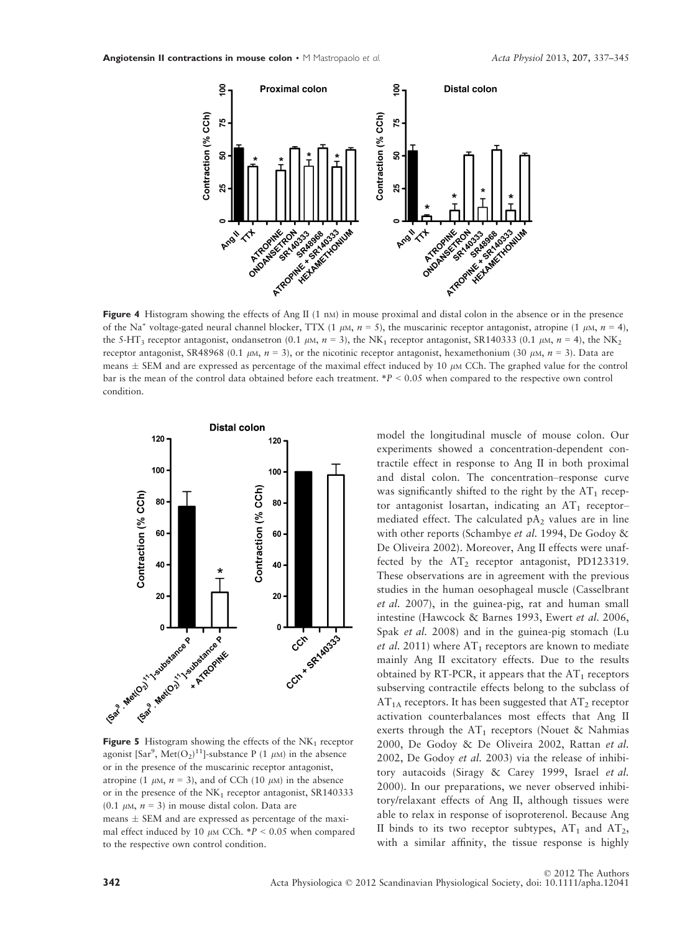

of the Na<sup>+</sup> voltage-gated neural channel blocker, TTX (1  $\mu$ M,  $n = 5$ ), the muscarinic receptor antagonist, atropine (1  $\mu$ M,  $n = 4$ ), the 5-HT<sub>3</sub> receptor antagonist, ondansetron (0.1  $\mu$ M,  $n = 3$ ), the NK<sub>1</sub> receptor antagonist, SR140333 (0.1  $\mu$ M,  $n = 4$ ), the NK<sub>2</sub> receptor antagonist, SR48968 (0.1  $\mu$ M,  $n = 3$ ), or the nicotinic receptor antagonist, hexamethonium (30  $\mu$ M,  $n = 3$ ). Data are means  $\pm$  SEM and are expressed as percentage of the maximal effect induced by 10  $\mu$ M CCh. The graphed value for the control bar is the mean of the control data obtained before each treatment. \*P < 0.05 when compared to the respective own control condition.



agonist [Sar<sup>9</sup>, Met(O<sub>2</sub>)<sup>11</sup>]-substance P (1  $\mu$ M) in the absence or in the presence of the muscarinic receptor antagonist, atropine (1  $\mu$ M,  $n = 3$ ), and of CCh (10  $\mu$ M) in the absence or in the presence of the  $NK_1$  receptor antagonist,  $SR140333$ (0.1  $\mu$ M,  $n = 3$ ) in mouse distal colon. Data are means  $\pm$  SEM and are expressed as percentage of the maximal effect induced by 10  $\mu$ M CCh. \*P < 0.05 when compared to the respective own control condition.

model the longitudinal muscle of mouse colon. Our experiments showed a concentration-dependent contractile effect in response to Ang II in both proximal and distal colon. The concentration–response curve was significantly shifted to the right by the  $AT_1$  receptor antagonist losartan, indicating an  $AT_1$  receptormediated effect. The calculated  $pA_2$  values are in line with other reports (Schambye et al. 1994, De Godoy & De Oliveira 2002). Moreover, Ang II effects were unaffected by the  $AT_2$  receptor antagonist, PD123319. These observations are in agreement with the previous studies in the human oesophageal muscle (Casselbrant et al. 2007), in the guinea-pig, rat and human small intestine (Hawcock & Barnes 1993, Ewert et al. 2006, Spak et al. 2008) and in the guinea-pig stomach (Lu et al. 2011) where  $AT_1$  receptors are known to mediate mainly Ang II excitatory effects. Due to the results obtained by RT-PCR, it appears that the  $AT_1$  receptors subserving contractile effects belong to the subclass of  $AT_{1A}$  receptors. It has been suggested that  $AT_2$  receptor activation counterbalances most effects that Ang II exerts through the  $AT_1$  receptors (Nouet & Nahmias 2000, De Godoy & De Oliveira 2002, Rattan et al. 2002, De Godoy et al. 2003) via the release of inhibitory autacoids (Siragy & Carey 1999, Israel et al. 2000). In our preparations, we never observed inhibitory/relaxant effects of Ang II, although tissues were able to relax in response of isoproterenol. Because Ang II binds to its two receptor subtypes,  $AT_1$  and  $AT_2$ , with a similar affinity, the tissue response is highly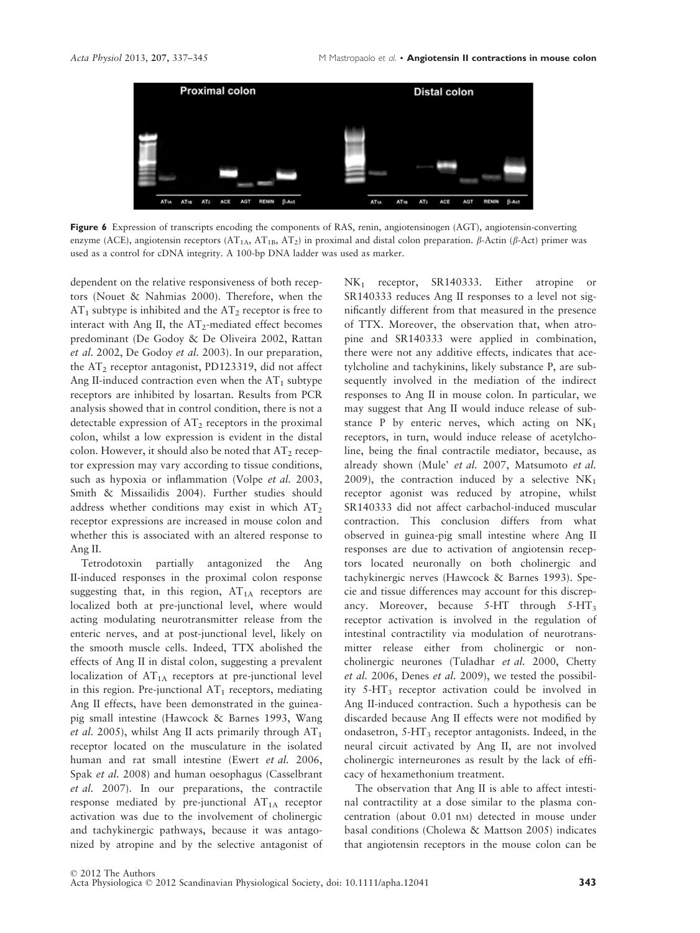

Figure 6 Expression of transcripts encoding the components of RAS, renin, angiotensinogen (AGT), angiotensin-converting enzyme (ACE), angiotensin receptors (AT<sub>1A</sub>, AT<sub>1B</sub>, AT<sub>2</sub>) in proximal and distal colon preparation.  $\beta$ -Actin ( $\beta$ -Act) primer was used as a control for cDNA integrity. A 100-bp DNA ladder was used as marker.

dependent on the relative responsiveness of both receptors (Nouet & Nahmias 2000). Therefore, when the  $AT_1$  subtype is inhibited and the  $AT_2$  receptor is free to interact with Ang II, the  $AT_2$ -mediated effect becomes predominant (De Godoy & De Oliveira 2002, Rattan et al. 2002, De Godoy et al. 2003). In our preparation, the  $AT_2$  receptor antagonist, PD123319, did not affect Ang II-induced contraction even when the  $AT_1$  subtype receptors are inhibited by losartan. Results from PCR analysis showed that in control condition, there is not a detectable expression of  $AT_2$  receptors in the proximal colon, whilst a low expression is evident in the distal colon. However, it should also be noted that  $AT_2$  receptor expression may vary according to tissue conditions, such as hypoxia or inflammation (Volpe *et al.* 2003, Smith & Missailidis 2004). Further studies should address whether conditions may exist in which  $AT<sub>2</sub>$ receptor expressions are increased in mouse colon and whether this is associated with an altered response to Ang II.

Tetrodotoxin partially antagonized the Ang II-induced responses in the proximal colon response suggesting that, in this region,  $AT<sub>1A</sub>$  receptors are localized both at pre-junctional level, where would acting modulating neurotransmitter release from the enteric nerves, and at post-junctional level, likely on the smooth muscle cells. Indeed, TTX abolished the effects of Ang II in distal colon, suggesting a prevalent localization of  $AT_{1A}$  receptors at pre-junctional level in this region. Pre-junctional  $AT_1$  receptors, mediating Ang II effects, have been demonstrated in the guineapig small intestine (Hawcock & Barnes 1993, Wang et al. 2005), whilst Ang II acts primarily through  $AT_1$ receptor located on the musculature in the isolated human and rat small intestine (Ewert et al. 2006, Spak et al. 2008) and human oesophagus (Casselbrant et al. 2007). In our preparations, the contractile response mediated by pre-junctional  $AT<sub>1A</sub>$  receptor activation was due to the involvement of cholinergic and tachykinergic pathways, because it was antagonized by atropine and by the selective antagonist of NK<sub>1</sub> receptor, SR140333. Either atropine or SR140333 reduces Ang II responses to a level not significantly different from that measured in the presence of TTX. Moreover, the observation that, when atropine and SR140333 were applied in combination, there were not any additive effects, indicates that acetylcholine and tachykinins, likely substance P, are subsequently involved in the mediation of the indirect responses to Ang II in mouse colon. In particular, we may suggest that Ang II would induce release of substance P by enteric nerves, which acting on  $NK_1$ receptors, in turn, would induce release of acetylcholine, being the final contractile mediator, because, as already shown (Mule' et al. 2007, Matsumoto et al. 2009), the contraction induced by a selective  $NK_1$ receptor agonist was reduced by atropine, whilst SR140333 did not affect carbachol-induced muscular contraction. This conclusion differs from what observed in guinea-pig small intestine where Ang II responses are due to activation of angiotensin receptors located neuronally on both cholinergic and tachykinergic nerves (Hawcock & Barnes 1993). Specie and tissue differences may account for this discrepancy. Moreover, because  $5-HT$  through  $5-HT_3$ receptor activation is involved in the regulation of intestinal contractility via modulation of neurotransmitter release either from cholinergic or noncholinergic neurones (Tuladhar et al. 2000, Chetty et al. 2006, Denes et al. 2009), we tested the possibility 5-HT3 receptor activation could be involved in Ang II-induced contraction. Such a hypothesis can be discarded because Ang II effects were not modified by ondasetron,  $5-HT_3$  receptor antagonists. Indeed, in the neural circuit activated by Ang II, are not involved cholinergic interneurones as result by the lack of efficacy of hexamethonium treatment.

The observation that Ang II is able to affect intestinal contractility at a dose similar to the plasma concentration (about 0.01 nM) detected in mouse under basal conditions (Cholewa & Mattson 2005) indicates that angiotensin receptors in the mouse colon can be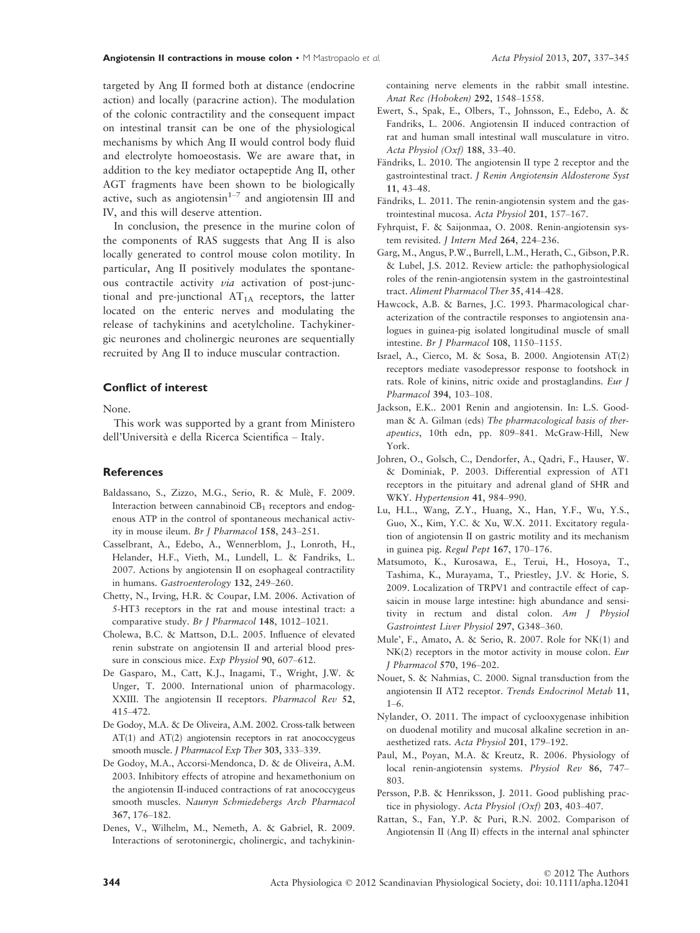targeted by Ang II formed both at distance (endocrine action) and locally (paracrine action). The modulation of the colonic contractility and the consequent impact on intestinal transit can be one of the physiological mechanisms by which Ang II would control body fluid and electrolyte homoeostasis. We are aware that, in addition to the key mediator octapeptide Ang II, other AGT fragments have been shown to be biologically active, such as angiotensin $1-7$  and angiotensin III and IV, and this will deserve attention.

In conclusion, the presence in the murine colon of the components of RAS suggests that Ang II is also locally generated to control mouse colon motility. In particular, Ang II positively modulates the spontaneous contractile activity via activation of post-junctional and pre-junctional  $AT<sub>1A</sub>$  receptors, the latter located on the enteric nerves and modulating the release of tachykinins and acetylcholine. Tachykinergic neurones and cholinergic neurones are sequentially recruited by Ang II to induce muscular contraction.

# Conflict of interest

None.

This work was supported by a grant from Ministero dell'Universita e della Ricerca Scientifica – Italy.

#### **References**

- Baldassano, S., Zizzo, M.G., Serio, R. & Mule, F. 2009. Interaction between cannabinoid  $CB<sub>1</sub>$  receptors and endogenous ATP in the control of spontaneous mechanical activity in mouse ileum. Br J Pharmacol 158, 243–251.
- Casselbrant, A., Edebo, A., Wennerblom, J., Lonroth, H., Helander, H.F., Vieth, M., Lundell, L. & Fandriks, L. 2007. Actions by angiotensin II on esophageal contractility in humans. Gastroenterology 132, 249–260.
- Chetty, N., Irving, H.R. & Coupar, I.M. 2006. Activation of 5-HT3 receptors in the rat and mouse intestinal tract: a comparative study. Br J Pharmacol 148, 1012-1021.
- Cholewa, B.C. & Mattson, D.L. 2005. Influence of elevated renin substrate on angiotensin II and arterial blood pressure in conscious mice. Exp Physiol 90, 607-612.
- De Gasparo, M., Catt, K.J., Inagami, T., Wright, J.W. & Unger, T. 2000. International union of pharmacology. XXIII. The angiotensin II receptors. Pharmacol Rev 52, 415–472.
- De Godoy, M.A. & De Oliveira, A.M. 2002. Cross-talk between AT(1) and AT(2) angiotensin receptors in rat anococcygeus smooth muscle. J Pharmacol Exp Ther 303, 333-339.
- De Godoy, M.A., Accorsi-Mendonca, D. & de Oliveira, A.M. 2003. Inhibitory effects of atropine and hexamethonium on the angiotensin II-induced contractions of rat anococcygeus smooth muscles. Naunyn Schmiedebergs Arch Pharmacol 367, 176–182.
- Denes, V., Wilhelm, M., Nemeth, A. & Gabriel, R. 2009. Interactions of serotoninergic, cholinergic, and tachykinin-

containing nerve elements in the rabbit small intestine. Anat Rec (Hoboken) 292, 1548–1558.

- Ewert, S., Spak, E., Olbers, T., Johnsson, E., Edebo, A. & Fandriks, L. 2006. Angiotensin II induced contraction of rat and human small intestinal wall musculature in vitro. Acta Physiol (Oxf) 188, 33–40.
- Fändriks, L. 2010. The angiotensin II type 2 receptor and the gastrointestinal tract. J Renin Angiotensin Aldosterone Syst 11, 43–48.
- Fändriks, L. 2011. The renin-angiotensin system and the gastrointestinal mucosa. Acta Physiol 201, 157–167.
- Fyhrquist, F. & Saijonmaa, O. 2008. Renin-angiotensin system revisited. *J Intern Med* 264, 224-236.
- Garg, M., Angus, P.W., Burrell, L.M., Herath, C., Gibson, P.R. & Lubel, J.S. 2012. Review article: the pathophysiological roles of the renin-angiotensin system in the gastrointestinal tract. Aliment Pharmacol Ther 35, 414–428.
- Hawcock, A.B. & Barnes, J.C. 1993. Pharmacological characterization of the contractile responses to angiotensin analogues in guinea-pig isolated longitudinal muscle of small intestine. Br J Pharmacol 108, 1150–1155.
- Israel, A., Cierco, M. & Sosa, B. 2000. Angiotensin AT(2) receptors mediate vasodepressor response to footshock in rats. Role of kinins, nitric oxide and prostaglandins. Eur J Pharmacol 394, 103–108.
- Jackson, E.K.. 2001 Renin and angiotensin. In: L.S. Goodman & A. Gilman (eds) The pharmacological basis of therapeutics, 10th edn, pp. 809–841. McGraw-Hill, New York.
- Johren, O., Golsch, C., Dendorfer, A., Qadri, F., Hauser, W. & Dominiak, P. 2003. Differential expression of AT1 receptors in the pituitary and adrenal gland of SHR and WKY. Hypertension 41, 984–990.
- Lu, H.L., Wang, Z.Y., Huang, X., Han, Y.F., Wu, Y.S., Guo, X., Kim, Y.C. & Xu, W.X. 2011. Excitatory regulation of angiotensin II on gastric motility and its mechanism in guinea pig. Regul Pept 167, 170–176.
- Matsumoto, K., Kurosawa, E., Terui, H., Hosoya, T., Tashima, K., Murayama, T., Priestley, J.V. & Horie, S. 2009. Localization of TRPV1 and contractile effect of capsaicin in mouse large intestine: high abundance and sensitivity in rectum and distal colon. Am J Physiol Gastrointest Liver Physiol 297, G348–360.
- Mule', F., Amato, A. & Serio, R. 2007. Role for NK(1) and NK(2) receptors in the motor activity in mouse colon. Eur J Pharmacol 570, 196–202.
- Nouet, S. & Nahmias, C. 2000. Signal transduction from the angiotensin II AT2 receptor. Trends Endocrinol Metab 11, 1–6.
- Nylander, O. 2011. The impact of cyclooxygenase inhibition on duodenal motility and mucosal alkaline secretion in anaesthetized rats. Acta Physiol 201, 179–192.
- Paul, M., Poyan, M.A. & Kreutz, R. 2006. Physiology of local renin-angiotensin systems. Physiol Rev 86, 747– 803.
- Persson, P.B. & Henriksson, J. 2011. Good publishing practice in physiology. Acta Physiol (Oxf) 203, 403–407.
- Rattan, S., Fan, Y.P. & Puri, R.N. 2002. Comparison of Angiotensin II (Ang II) effects in the internal anal sphincter